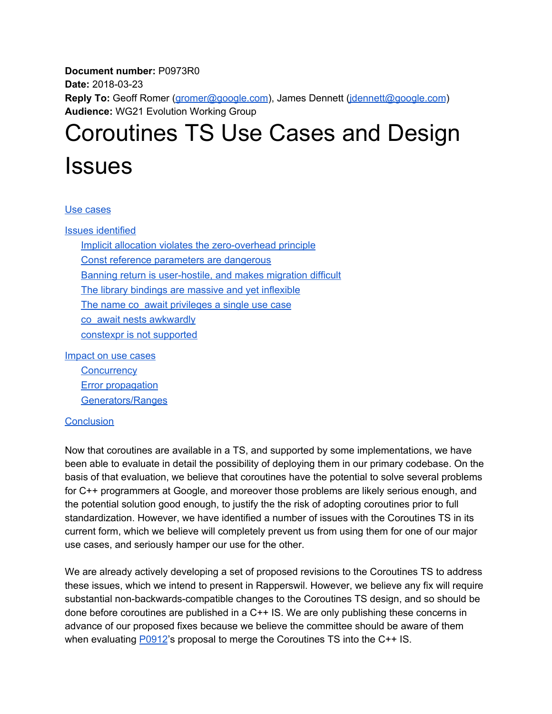**Document number:** P0973R0 **Date:** 2018-03-23 **Reply To:** Geoff Romer ([gromer@google.com\)](mailto:gromer@google.com), James Dennett ([jdennett@google.com](mailto:jdennett@google.com)) **Audience:** WG21 Evolution Working Group

# Coroutines TS Use Cases and Design **Issues**

#### Use [cases](#page-1-0)

Issues [identified](#page-2-0)

Implicit allocation violates the [zero-overhead](#page-2-1) principle Const reference [parameters](#page-3-0) are dangerous Banning return is [user-hostile,](#page-4-0) and makes migration difficult The library bindings are massive and yet [inflexible](#page-4-1) The name co\_await [privileges](#page-5-0) a single use case co\_await nests [awkwardly](#page-6-0) constexpr is not [supported](#page-6-1)

[Impact](#page-6-2) on use cases

**[Concurrency](#page-6-3) Error [propagation](#page-7-0)** [Generators/Ranges](#page-7-1)

#### **[Conclusion](#page-8-0)**

Now that coroutines are available in a TS, and supported by some implementations, we have been able to evaluate in detail the possibility of deploying them in our primary codebase. On the basis of that evaluation, we believe that coroutines have the potential to solve several problems for C++ programmers at Google, and moreover those problems are likely serious enough, and the potential solution good enough, to justify the the risk of adopting coroutines prior to full standardization. However, we have identified a number of issues with the Coroutines TS in its current form, which we believe will completely prevent us from using them for one of our major use cases, and seriously hamper our use for the other.

We are already actively developing a set of proposed revisions to the Coroutines TS to address these issues, which we intend to present in Rapperswil. However, we believe any fix will require substantial non-backwards-compatible changes to the Coroutines TS design, and so should be done before coroutines are published in a C++ IS. We are only publishing these concerns in advance of our proposed fixes because we believe the committee should be aware of them when evaluating **[P0912](http://www.open-std.org/jtc1/sc22/wg21/docs/papers/2018/p0912r0.md)'s** proposal to merge the Coroutines TS into the C++ IS.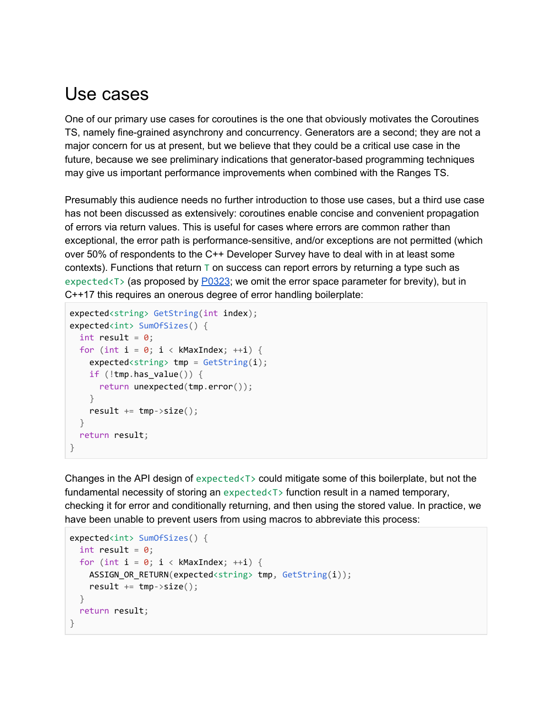### <span id="page-1-0"></span>Use cases

One of our primary use cases for coroutines is the one that obviously motivates the Coroutines TS, namely fine-grained asynchrony and concurrency. Generators are a second; they are not a major concern for us at present, but we believe that they could be a critical use case in the future, because we see preliminary indications that generator-based programming techniques may give us important performance improvements when combined with the Ranges TS.

Presumably this audience needs no further introduction to those use cases, but a third use case has not been discussed as extensively: coroutines enable concise and convenient propagation of errors via return values. This is useful for cases where errors are common rather than exceptional, the error path is performance-sensitive, and/or exceptions are not permitted (which over 50% of respondents to the C++ Developer Survey have to deal with in at least some contexts). Functions that return  $\top$  on success can report errors by returning a type such as expected<T> (as proposed by  $P0323$ ; we omit the error space parameter for brevity), but in C++17 this requires an onerous degree of error handling boilerplate:

```
expected<string> GetString(int index);
expected<int> SumOfSizes() {
 int result = 0;
 for (int i = 0; i \lt kMaxIndex; +i) {
   expected<string> tmp = GetString(i);if (!tmp.has_value()) {
      return unexpected(tmp.error());
   }
    result += tmp->size();
 }
 return result;
}
```
Changes in the API design of expected<T> could mitigate some of this boilerplate, but not the fundamental necessity of storing an expected<T> function result in a named temporary, checking it for error and conditionally returning, and then using the stored value. In practice, we have been unable to prevent users from using macros to abbreviate this process:

```
expected<int> SumOfSizes() {
 int result = 0;
 for (int i = 0; i \lt kMaxIndex; +i) {
   ASSIGN_OR_RETURN(expected<string> tmp, GetString(i));
   result += tmp->size();
 }
 return result;
}
```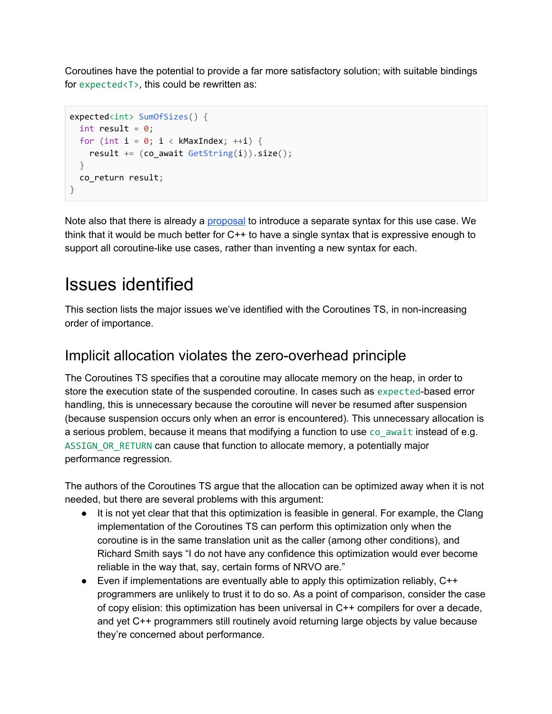Coroutines have the potential to provide a far more satisfactory solution; with suitable bindings for expected<T>, this could be rewritten as:

```
expected<int> SumOfSizes() {
 int result = 0;
 for (int i = 0; i < kMaxIndex; ++i) {
   result += (co_await GetString(i)).size();
 }
 co_return result;
}
```
Note also that there is already a [proposal](http://www.open-std.org/jtc1/sc22/wg21/docs/papers/2017/p0779r0.pdf) to introduce a separate syntax for this use case. We think that it would be much better for C++ to have a single syntax that is expressive enough to support all coroutine-like use cases, rather than inventing a new syntax for each.

## <span id="page-2-0"></span>Issues identified

This section lists the major issues we've identified with the Coroutines TS, in non-increasing order of importance.

#### <span id="page-2-1"></span>Implicit allocation violates the zero-overhead principle

The Coroutines TS specifies that a coroutine may allocate memory on the heap, in order to store the execution state of the suspended coroutine. In cases such as expected-based error handling, this is unnecessary because the coroutine will never be resumed after suspension (because suspension occurs only when an error is encountered). This unnecessary allocation is a serious problem, because it means that modifying a function to use co await instead of e.g. ASSIGN\_OR\_RETURN can cause that function to allocate memory, a potentially major performance regression.

The authors of the Coroutines TS argue that the allocation can be optimized away when it is not needed, but there are several problems with this argument:

- It is not yet clear that that this optimization is feasible in general. For example, the Clang implementation of the Coroutines TS can perform this optimization only when the coroutine is in the same translation unit as the caller (among other conditions), and Richard Smith says "I do not have any confidence this optimization would ever become reliable in the way that, say, certain forms of NRVO are."
- $\bullet$  Even if implementations are eventually able to apply this optimization reliably, C++ programmers are unlikely to trust it to do so. As a point of comparison, consider the case of copy elision: this optimization has been universal in C++ compilers for over a decade, and yet C++ programmers still routinely avoid returning large objects by value because they're concerned about performance.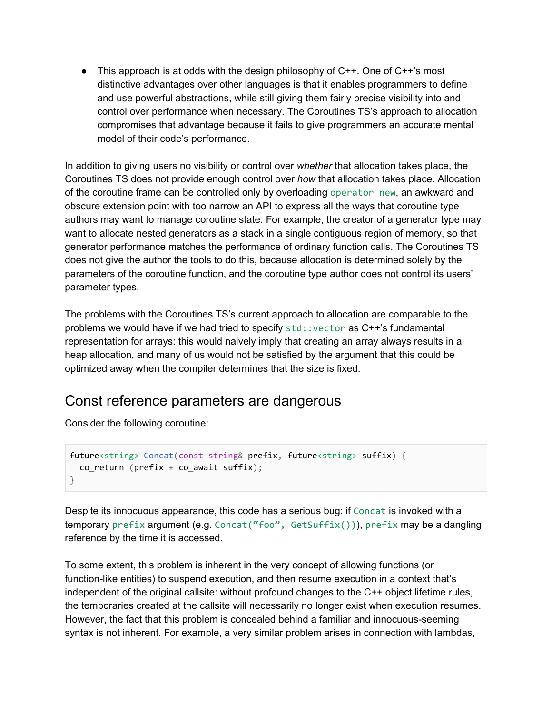• This approach is at odds with the design philosophy of  $C++$ . One of  $C++$ 's most distinctive advantages over other languages is that it enables programmers to define and use powerful abstractions, while still giving them fairly precise visibility into and control over performance when necessary. The Coroutines TS's approach to allocation compromises that advantage because it fails to give programmers an accurate mental model of their code's performance.

In addition to giving users no visibility or control over *whether* that allocation takes place, the Coroutines TS does not provide enough control over *how* that allocation takes place. Allocation of the coroutine frame can be controlled only by overloading operator new, an awkward and obscure extension point with too narrow an API to express all the ways that coroutine type authors may want to manage coroutine state. For example, the creator of a generator type may want to allocate nested generators as a stack in a single contiguous region of memory, so that generator performance matches the performance of ordinary function calls. The Coroutines TS does not give the author the tools to do this, because allocation is determined solely by the parameters of the coroutine function, and the coroutine type author does not control its users' parameter types.

The problems with the Coroutines TS's current approach to allocation are comparable to the problems we would have if we had tried to specify std::vector as C++'s fundamental representation for arrays: this would naively imply that creating an array always results in a heap allocation, and many of us would not be satisfied by the argument that this could be optimized away when the compiler determines that the size is fixed.

#### <span id="page-3-0"></span>Const reference parameters are dangerous

Consider the following coroutine:

```
future<string> Concat(const string& prefix, future<string> suffix) {
 co_{re}turn (prefix + co_await suffix);
}
```
Despite its innocuous appearance, this code has a serious bug: if Concat is invoked with a temporary prefix argument (e.g. Concat("foo", GetSuffix())), prefix may be a dangling reference by the time it is accessed.

To some extent, this problem is inherent in the very concept of allowing functions (or function-like entities) to suspend execution, and then resume execution in a context that's independent of the original callsite: without profound changes to the C++ object lifetime rules, the temporaries created at the callsite will necessarily no longer exist when execution resumes. However, the fact that this problem is concealed behind a familiar and innocuous-seeming syntax is not inherent. For example, a very similar problem arises in connection with lambdas,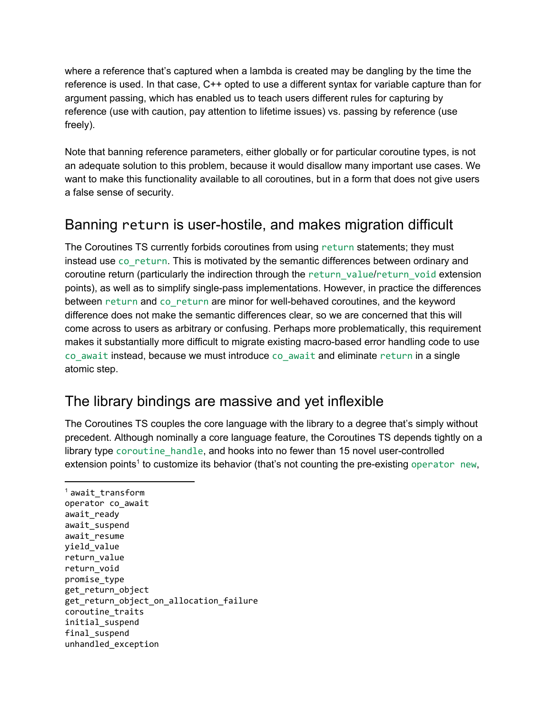where a reference that's captured when a lambda is created may be dangling by the time the reference is used. In that case, C++ opted to use a different syntax for variable capture than for argument passing, which has enabled us to teach users different rules for capturing by reference (use with caution, pay attention to lifetime issues) vs. passing by reference (use freely).

Note that banning reference parameters, either globally or for particular coroutine types, is not an adequate solution to this problem, because it would disallow many important use cases. We want to make this functionality available to all coroutines, but in a form that does not give users a false sense of security.

### <span id="page-4-0"></span>Banning return is user-hostile, and makes migration difficult

The Coroutines TS currently forbids coroutines from using return statements; they must instead use co\_return. This is motivated by the semantic differences between ordinary and coroutine return (particularly the indirection through the return value/return void extension points), as well as to simplify single-pass implementations. However, in practice the differences between return and coareturn are minor for well-behaved coroutines, and the keyword difference does not make the semantic differences clear, so we are concerned that this will come across to users as arbitrary or confusing. Perhaps more problematically, this requirement makes it substantially more difficult to migrate existing macro-based error handling code to use co\_await instead, because we must introduce co\_await and eliminate return in a single atomic step.

#### <span id="page-4-1"></span>The library bindings are massive and yet inflexible

The Coroutines TS couples the core language with the library to a degree that's simply without precedent. Although nominally a core language feature, the Coroutines TS depends tightly on a library type coroutine\_handle, and hooks into no fewer than 15 novel user-controlled extension points<sup>1</sup> to customize its behavior (that's not counting the pre-existing operator new,

```
<sup>1</sup> await transform</sup>
operator co_await
await_ready
await_suspend
await_resume
yield_value
return_value
return_void
promise_type
get_return_object
get_return_object_on_allocation_failure
coroutine_traits
initial_suspend
final_suspend
unhandled_exception
```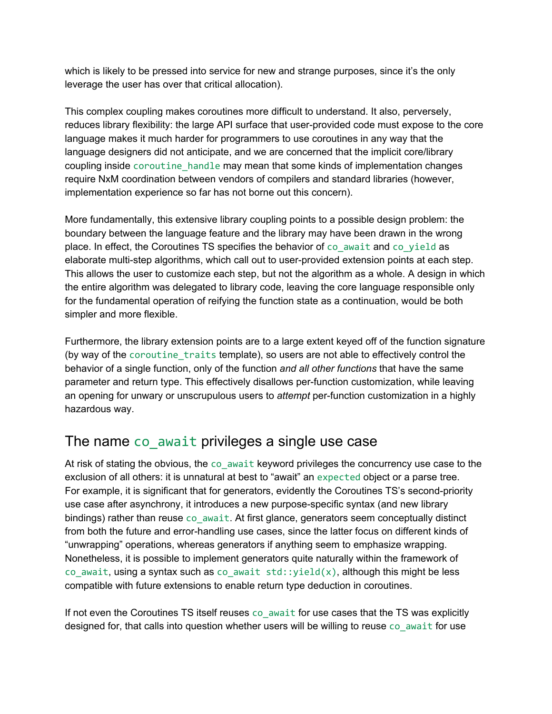which is likely to be pressed into service for new and strange purposes, since it's the only leverage the user has over that critical allocation).

This complex coupling makes coroutines more difficult to understand. It also, perversely, reduces library flexibility: the large API surface that user-provided code must expose to the core language makes it much harder for programmers to use coroutines in any way that the language designers did not anticipate, and we are concerned that the implicit core/library coupling inside coroutine\_handle may mean that some kinds of implementation changes require NxM coordination between vendors of compilers and standard libraries (however, implementation experience so far has not borne out this concern).

More fundamentally, this extensive library coupling points to a possible design problem: the boundary between the language feature and the library may have been drawn in the wrong place. In effect, the Coroutines TS specifies the behavior of coawait and co-yield as elaborate multi-step algorithms, which call out to user-provided extension points at each step. This allows the user to customize each step, but not the algorithm as a whole. A design in which the entire algorithm was delegated to library code, leaving the core language responsible only for the fundamental operation of reifying the function state as a continuation, would be both simpler and more flexible.

Furthermore, the library extension points are to a large extent keyed off of the function signature (by way of the coroutine\_traits template), so users are not able to effectively control the behavior of a single function, only of the function *and all other functions* that have the same parameter and return type. This effectively disallows per-function customization, while leaving an opening for unwary or unscrupulous users to *attempt* per-function customization in a highly hazardous way.

#### <span id="page-5-0"></span>The name co await privileges a single use case

At risk of stating the obvious, the coawait keyword privileges the concurrency use case to the exclusion of all others: it is unnatural at best to "await" an expected object or a parse tree. For example, it is significant that for generators, evidently the Coroutines TS's second-priority use case after asynchrony, it introduces a new purpose-specific syntax (and new library bindings) rather than reuse co await. At first glance, generators seem conceptually distinct from both the future and error-handling use cases, since the latter focus on different kinds of "unwrapping" operations, whereas generators if anything seem to emphasize wrapping. Nonetheless, it is possible to implement generators quite naturally within the framework of co await, using a syntax such as co await  $std::yield(x)$ , although this might be less compatible with future extensions to enable return type deduction in coroutines.

If not even the Coroutines TS itself reuses co await for use cases that the TS was explicitly designed for, that calls into question whether users will be willing to reuse co await for use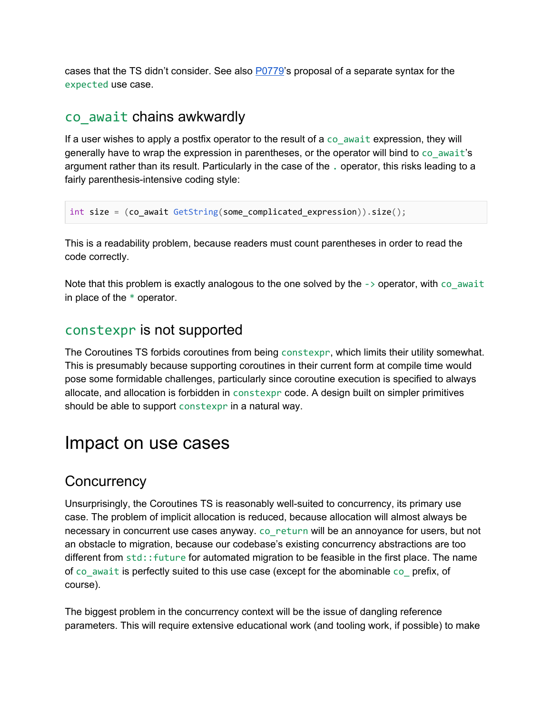cases that the TS didn't consider. See also [P0779](http://www.open-std.org/jtc1/sc22/wg21/docs/papers/2017/p0779r0.pdf)'s proposal of a separate syntax for the expected use case.

#### <span id="page-6-0"></span>co\_await chains awkwardly

If a user wishes to apply a postfix operator to the result of a co await expression, they will generally have to wrap the expression in parentheses, or the operator will bind to co\_await's argument rather than its result. Particularly in the case of the . operator, this risks leading to a fairly parenthesis-intensive coding style:

```
int size = (co_await GetString(some_complicated_expression)).size();
```
This is a readability problem, because readers must count parentheses in order to read the code correctly.

Note that this problem is exactly analogous to the one solved by the  $\rightarrow$  operator, with co await in place of the \* operator.

#### <span id="page-6-1"></span>constexpr is not supported

The Coroutines TS forbids coroutines from being constexpr, which limits their utility somewhat. This is presumably because supporting coroutines in their current form at compile time would pose some formidable challenges, particularly since coroutine execution is specified to always allocate, and allocation is forbidden in constexpr code. A design built on simpler primitives should be able to support constexpr in a natural way.

### <span id="page-6-2"></span>Impact on use cases

#### <span id="page-6-3"></span>**Concurrency**

Unsurprisingly, the Coroutines TS is reasonably well-suited to concurrency, its primary use case. The problem of implicit allocation is reduced, because allocation will almost always be necessary in concurrent use cases anyway. co\_return will be an annoyance for users, but not an obstacle to migration, because our codebase's existing concurrency abstractions are too different from std:: future for automated migration to be feasible in the first place. The name of co\_await is perfectly suited to this use case (except for the abominable co\_ prefix, of course).

The biggest problem in the concurrency context will be the issue of dangling reference parameters. This will require extensive educational work (and tooling work, if possible) to make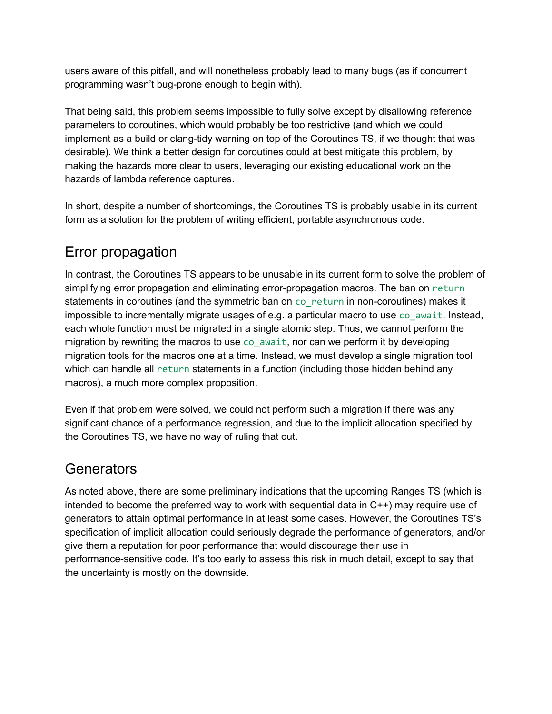users aware of this pitfall, and will nonetheless probably lead to many bugs (as if concurrent programming wasn't bug-prone enough to begin with).

That being said, this problem seems impossible to fully solve except by disallowing reference parameters to coroutines, which would probably be too restrictive (and which we could implement as a build or clang-tidy warning on top of the Coroutines TS, if we thought that was desirable). We think a better design for coroutines could at best mitigate this problem, by making the hazards more clear to users, leveraging our existing educational work on the hazards of lambda reference captures.

In short, despite a number of shortcomings, the Coroutines TS is probably usable in its current form as a solution for the problem of writing efficient, portable asynchronous code.

### <span id="page-7-0"></span>Error propagation

In contrast, the Coroutines TS appears to be unusable in its current form to solve the problem of simplifying error propagation and eliminating error-propagation macros. The ban on return statements in coroutines (and the symmetric ban on co\_return in non-coroutines) makes it impossible to incrementally migrate usages of e.g. a particular macro to use co\_await. Instead, each whole function must be migrated in a single atomic step. Thus, we cannot perform the migration by rewriting the macros to use co\_await, nor can we perform it by developing migration tools for the macros one at a time. Instead, we must develop a single migration tool which can handle all return statements in a function (including those hidden behind any macros), a much more complex proposition.

Even if that problem were solved, we could not perform such a migration if there was any significant chance of a performance regression, and due to the implicit allocation specified by the Coroutines TS, we have no way of ruling that out.

#### <span id="page-7-1"></span>**Generators**

As noted above, there are some preliminary indications that the upcoming Ranges TS (which is intended to become the preferred way to work with sequential data in C++) may require use of generators to attain optimal performance in at least some cases. However, the Coroutines TS's specification of implicit allocation could seriously degrade the performance of generators, and/or give them a reputation for poor performance that would discourage their use in performance-sensitive code. It's too early to assess this risk in much detail, except to say that the uncertainty is mostly on the downside.